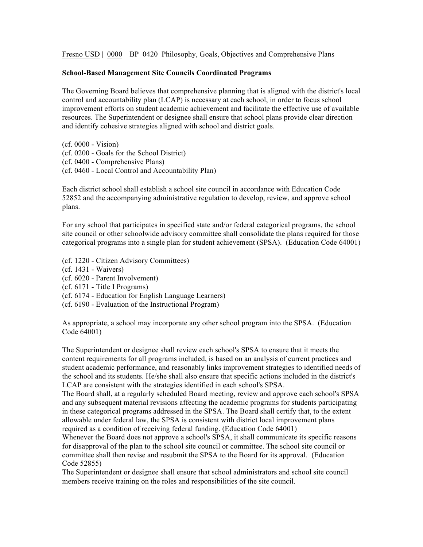Fresno USD | 0000 | BP 0420 Philosophy, Goals, Objectives and Comprehensive Plans

## **School-Based Management Site Councils Coordinated Programs**

The Governing Board believes that comprehensive planning that is aligned with the district's local control and accountability plan (LCAP) is necessary at each school, in order to focus school improvement efforts on student academic achievement and facilitate the effective use of available resources. The Superintendent or designee shall ensure that school plans provide clear direction and identify cohesive strategies aligned with school and district goals.

(cf. 0000 - Vision) (cf. 0200 - Goals for the School District) (cf. 0400 - Comprehensive Plans) (cf. 0460 - Local Control and Accountability Plan)

Each district school shall establish a school site council in accordance with Education Code 52852 and the accompanying administrative regulation to develop, review, and approve school plans.

For any school that participates in specified state and/or federal categorical programs, the school site council or other schoolwide advisory committee shall consolidate the plans required for those categorical programs into a single plan for student achievement (SPSA). (Education Code 64001)

- (cf. 1220 Citizen Advisory Committees)
- (cf. 1431 Waivers)
- (cf. 6020 Parent Involvement)
- (cf. 6171 Title I Programs)
- (cf. 6174 Education for English Language Learners)
- (cf. 6190 Evaluation of the Instructional Program)

As appropriate, a school may incorporate any other school program into the SPSA. (Education Code 64001)

The Superintendent or designee shall review each school's SPSA to ensure that it meets the content requirements for all programs included, is based on an analysis of current practices and student academic performance, and reasonably links improvement strategies to identified needs of the school and its students. He/she shall also ensure that specific actions included in the district's LCAP are consistent with the strategies identified in each school's SPSA.

The Board shall, at a regularly scheduled Board meeting, review and approve each school's SPSA and any subsequent material revisions affecting the academic programs for students participating in these categorical programs addressed in the SPSA. The Board shall certify that, to the extent allowable under federal law, the SPSA is consistent with district local improvement plans required as a condition of receiving federal funding. (Education Code 64001)

Whenever the Board does not approve a school's SPSA, it shall communicate its specific reasons for disapproval of the plan to the school site council or committee. The school site council or committee shall then revise and resubmit the SPSA to the Board for its approval. (Education Code 52855)

The Superintendent or designee shall ensure that school administrators and school site council members receive training on the roles and responsibilities of the site council.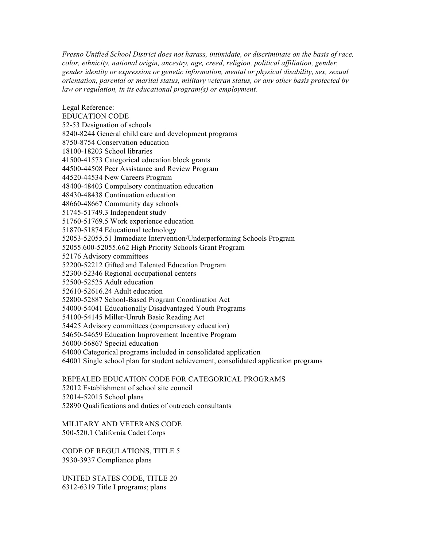*Fresno Unified School District does not harass, intimidate, or discriminate on the basis of race, color, ethnicity, national origin, ancestry, age, creed, religion, political affiliation, gender, gender identity or expression or genetic information, mental or physical disability, sex, sexual orientation, parental or marital status, military veteran status, or any other basis protected by law or regulation, in its educational program(s) or employment.*

Legal Reference: EDUCATION CODE 52-53 Designation of schools 8240-8244 General child care and development programs 8750-8754 Conservation education 18100-18203 School libraries 41500-41573 Categorical education block grants 44500-44508 Peer Assistance and Review Program 44520-44534 New Careers Program 48400-48403 Compulsory continuation education 48430-48438 Continuation education 48660-48667 Community day schools 51745-51749.3 Independent study 51760-51769.5 Work experience education 51870-51874 Educational technology 52053-52055.51 Immediate Intervention/Underperforming Schools Program 52055.600-52055.662 High Priority Schools Grant Program 52176 Advisory committees 52200-52212 Gifted and Talented Education Program 52300-52346 Regional occupational centers 52500-52525 Adult education 52610-52616.24 Adult education 52800-52887 School-Based Program Coordination Act 54000-54041 Educationally Disadvantaged Youth Programs 54100-54145 Miller-Unruh Basic Reading Act 54425 Advisory committees (compensatory education) 54650-54659 Education Improvement Incentive Program 56000-56867 Special education 64000 Categorical programs included in consolidated application 64001 Single school plan for student achievement, consolidated application programs

REPEALED EDUCATION CODE FOR CATEGORICAL PROGRAMS 52012 Establishment of school site council 52014-52015 School plans 52890 Qualifications and duties of outreach consultants

MILITARY AND VETERANS CODE 500-520.1 California Cadet Corps

CODE OF REGULATIONS, TITLE 5 3930-3937 Compliance plans

UNITED STATES CODE, TITLE 20 6312-6319 Title I programs; plans